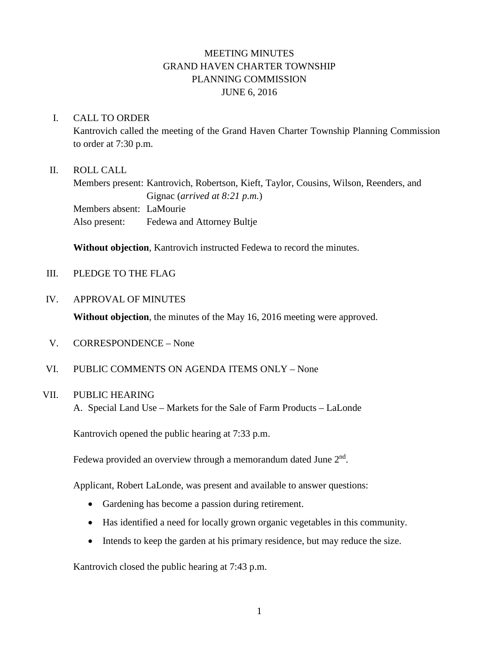# MEETING MINUTES GRAND HAVEN CHARTER TOWNSHIP PLANNING COMMISSION JUNE 6, 2016

#### I. CALL TO ORDER

Kantrovich called the meeting of the Grand Haven Charter Township Planning Commission to order at 7:30 p.m.

### II. ROLL CALL

Members present: Kantrovich, Robertson, Kieft, Taylor, Cousins, Wilson, Reenders, and Gignac (*arrived at 8:21 p.m.*) Members absent: LaMourie Also present: Fedewa and Attorney Bultje

**Without objection**, Kantrovich instructed Fedewa to record the minutes.

III. PLEDGE TO THE FLAG

#### IV. APPROVAL OF MINUTES

**Without objection**, the minutes of the May 16, 2016 meeting were approved.

- V. CORRESPONDENCE None
- VI. PUBLIC COMMENTS ON AGENDA ITEMS ONLY None

# VII. PUBLIC HEARING

A. Special Land Use – Markets for the Sale of Farm Products – LaLonde

Kantrovich opened the public hearing at 7:33 p.m.

Fedewa provided an overview through a memorandum dated June  $2<sup>nd</sup>$ .

Applicant, Robert LaLonde, was present and available to answer questions:

- Gardening has become a passion during retirement.
- Has identified a need for locally grown organic vegetables in this community.
- Intends to keep the garden at his primary residence, but may reduce the size.

Kantrovich closed the public hearing at 7:43 p.m.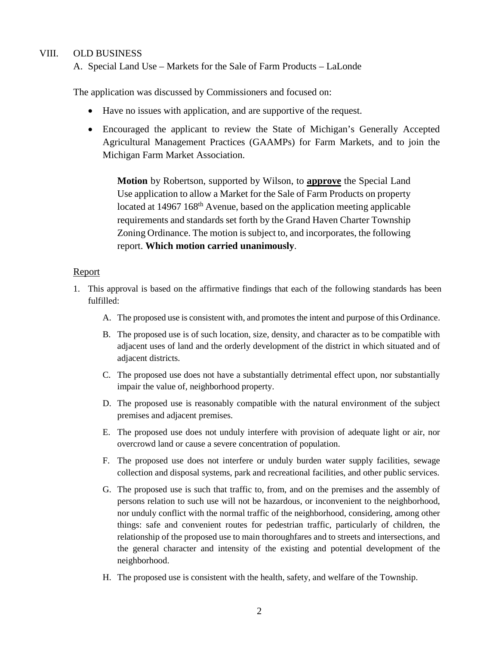#### VIII. OLD BUSINESS

A. Special Land Use – Markets for the Sale of Farm Products – LaLonde

The application was discussed by Commissioners and focused on:

- Have no issues with application, and are supportive of the request.
- Encouraged the applicant to review the State of Michigan's Generally Accepted Agricultural Management Practices (GAAMPs) for Farm Markets, and to join the Michigan Farm Market Association.

**Motion** by Robertson, supported by Wilson, to **approve** the Special Land Use application to allow a Market for the Sale of Farm Products on property located at 14967 168<sup>th</sup> Avenue, based on the application meeting applicable requirements and standards set forth by the Grand Haven Charter Township Zoning Ordinance. The motion is subject to, and incorporates, the following report. **Which motion carried unanimously**.

#### Report

- 1. This approval is based on the affirmative findings that each of the following standards has been fulfilled:
	- A. The proposed use is consistent with, and promotes the intent and purpose of this Ordinance.
	- B. The proposed use is of such location, size, density, and character as to be compatible with adjacent uses of land and the orderly development of the district in which situated and of adjacent districts.
	- C. The proposed use does not have a substantially detrimental effect upon, nor substantially impair the value of, neighborhood property.
	- D. The proposed use is reasonably compatible with the natural environment of the subject premises and adjacent premises.
	- E. The proposed use does not unduly interfere with provision of adequate light or air, nor overcrowd land or cause a severe concentration of population.
	- F. The proposed use does not interfere or unduly burden water supply facilities, sewage collection and disposal systems, park and recreational facilities, and other public services.
	- G. The proposed use is such that traffic to, from, and on the premises and the assembly of persons relation to such use will not be hazardous, or inconvenient to the neighborhood, nor unduly conflict with the normal traffic of the neighborhood, considering, among other things: safe and convenient routes for pedestrian traffic, particularly of children, the relationship of the proposed use to main thoroughfares and to streets and intersections, and the general character and intensity of the existing and potential development of the neighborhood.
	- H. The proposed use is consistent with the health, safety, and welfare of the Township.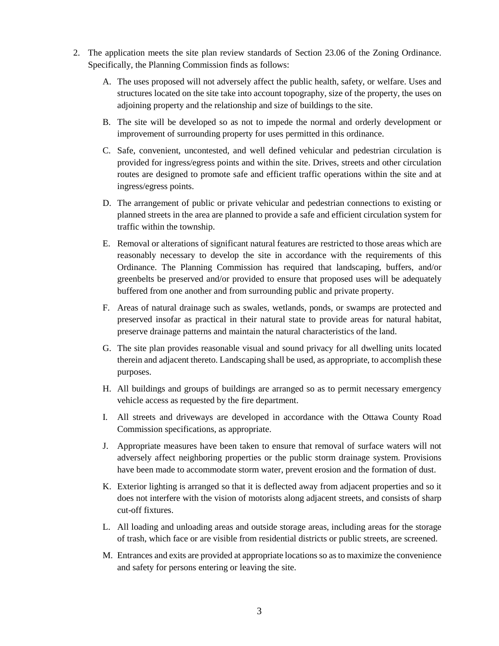- 2. The application meets the site plan review standards of Section 23.06 of the Zoning Ordinance. Specifically, the Planning Commission finds as follows:
	- A. The uses proposed will not adversely affect the public health, safety, or welfare. Uses and structures located on the site take into account topography, size of the property, the uses on adjoining property and the relationship and size of buildings to the site.
	- B. The site will be developed so as not to impede the normal and orderly development or improvement of surrounding property for uses permitted in this ordinance.
	- C. Safe, convenient, uncontested, and well defined vehicular and pedestrian circulation is provided for ingress/egress points and within the site. Drives, streets and other circulation routes are designed to promote safe and efficient traffic operations within the site and at ingress/egress points.
	- D. The arrangement of public or private vehicular and pedestrian connections to existing or planned streets in the area are planned to provide a safe and efficient circulation system for traffic within the township.
	- E. Removal or alterations of significant natural features are restricted to those areas which are reasonably necessary to develop the site in accordance with the requirements of this Ordinance. The Planning Commission has required that landscaping, buffers, and/or greenbelts be preserved and/or provided to ensure that proposed uses will be adequately buffered from one another and from surrounding public and private property.
	- F. Areas of natural drainage such as swales, wetlands, ponds, or swamps are protected and preserved insofar as practical in their natural state to provide areas for natural habitat, preserve drainage patterns and maintain the natural characteristics of the land.
	- G. The site plan provides reasonable visual and sound privacy for all dwelling units located therein and adjacent thereto. Landscaping shall be used, as appropriate, to accomplish these purposes.
	- H. All buildings and groups of buildings are arranged so as to permit necessary emergency vehicle access as requested by the fire department.
	- I. All streets and driveways are developed in accordance with the Ottawa County Road Commission specifications, as appropriate.
	- J. Appropriate measures have been taken to ensure that removal of surface waters will not adversely affect neighboring properties or the public storm drainage system. Provisions have been made to accommodate storm water, prevent erosion and the formation of dust.
	- K. Exterior lighting is arranged so that it is deflected away from adjacent properties and so it does not interfere with the vision of motorists along adjacent streets, and consists of sharp cut-off fixtures.
	- L. All loading and unloading areas and outside storage areas, including areas for the storage of trash, which face or are visible from residential districts or public streets, are screened.
	- M. Entrances and exits are provided at appropriate locations so as to maximize the convenience and safety for persons entering or leaving the site.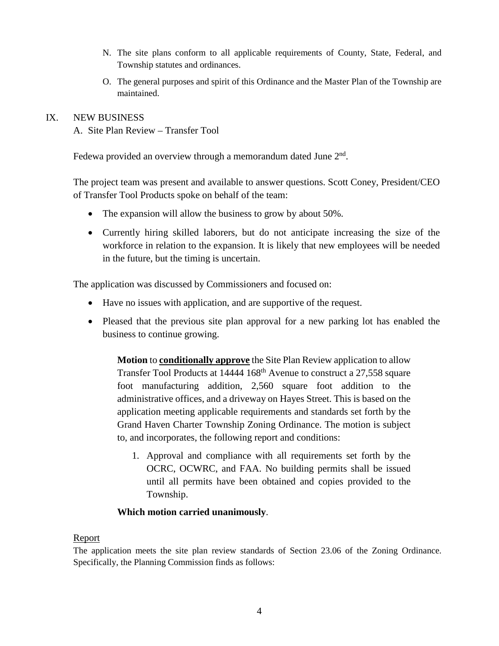- N. The site plans conform to all applicable requirements of County, State, Federal, and Township statutes and ordinances.
- O. The general purposes and spirit of this Ordinance and the Master Plan of the Township are maintained.

### IX. NEW BUSINESS

A. Site Plan Review – Transfer Tool

Fedewa provided an overview through a memorandum dated June  $2<sup>nd</sup>$ .

The project team was present and available to answer questions. Scott Coney, President/CEO of Transfer Tool Products spoke on behalf of the team:

- The expansion will allow the business to grow by about 50%.
- Currently hiring skilled laborers, but do not anticipate increasing the size of the workforce in relation to the expansion. It is likely that new employees will be needed in the future, but the timing is uncertain.

The application was discussed by Commissioners and focused on:

- Have no issues with application, and are supportive of the request.
- Pleased that the previous site plan approval for a new parking lot has enabled the business to continue growing.

**Motion** to **conditionally approve** the Site Plan Review application to allow Transfer Tool Products at 14444 168<sup>th</sup> Avenue to construct a 27,558 square foot manufacturing addition, 2,560 square foot addition to the administrative offices, and a driveway on Hayes Street. This is based on the application meeting applicable requirements and standards set forth by the Grand Haven Charter Township Zoning Ordinance. The motion is subject to, and incorporates, the following report and conditions:

1. Approval and compliance with all requirements set forth by the OCRC, OCWRC, and FAA. No building permits shall be issued until all permits have been obtained and copies provided to the Township.

#### **Which motion carried unanimously**.

#### Report

The application meets the site plan review standards of Section 23.06 of the Zoning Ordinance. Specifically, the Planning Commission finds as follows: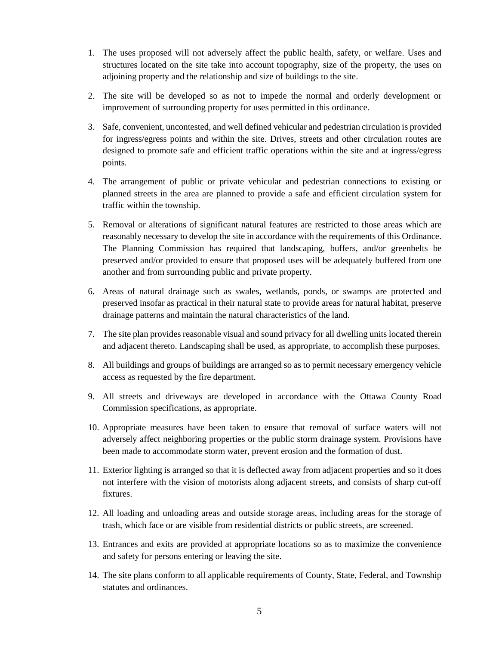- 1. The uses proposed will not adversely affect the public health, safety, or welfare. Uses and structures located on the site take into account topography, size of the property, the uses on adjoining property and the relationship and size of buildings to the site.
- 2. The site will be developed so as not to impede the normal and orderly development or improvement of surrounding property for uses permitted in this ordinance.
- 3. Safe, convenient, uncontested, and well defined vehicular and pedestrian circulation is provided for ingress/egress points and within the site. Drives, streets and other circulation routes are designed to promote safe and efficient traffic operations within the site and at ingress/egress points.
- 4. The arrangement of public or private vehicular and pedestrian connections to existing or planned streets in the area are planned to provide a safe and efficient circulation system for traffic within the township.
- 5. Removal or alterations of significant natural features are restricted to those areas which are reasonably necessary to develop the site in accordance with the requirements of this Ordinance. The Planning Commission has required that landscaping, buffers, and/or greenbelts be preserved and/or provided to ensure that proposed uses will be adequately buffered from one another and from surrounding public and private property.
- 6. Areas of natural drainage such as swales, wetlands, ponds, or swamps are protected and preserved insofar as practical in their natural state to provide areas for natural habitat, preserve drainage patterns and maintain the natural characteristics of the land.
- 7. The site plan provides reasonable visual and sound privacy for all dwelling units located therein and adjacent thereto. Landscaping shall be used, as appropriate, to accomplish these purposes.
- 8. All buildings and groups of buildings are arranged so as to permit necessary emergency vehicle access as requested by the fire department.
- 9. All streets and driveways are developed in accordance with the Ottawa County Road Commission specifications, as appropriate.
- 10. Appropriate measures have been taken to ensure that removal of surface waters will not adversely affect neighboring properties or the public storm drainage system. Provisions have been made to accommodate storm water, prevent erosion and the formation of dust.
- 11. Exterior lighting is arranged so that it is deflected away from adjacent properties and so it does not interfere with the vision of motorists along adjacent streets, and consists of sharp cut-off fixtures.
- 12. All loading and unloading areas and outside storage areas, including areas for the storage of trash, which face or are visible from residential districts or public streets, are screened.
- 13. Entrances and exits are provided at appropriate locations so as to maximize the convenience and safety for persons entering or leaving the site.
- 14. The site plans conform to all applicable requirements of County, State, Federal, and Township statutes and ordinances.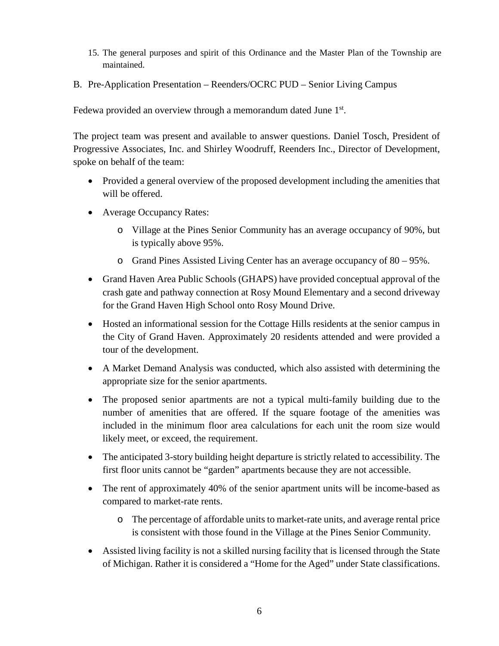- 15. The general purposes and spirit of this Ordinance and the Master Plan of the Township are maintained.
- B. Pre-Application Presentation Reenders/OCRC PUD Senior Living Campus

Fedewa provided an overview through a memorandum dated June 1<sup>st</sup>.

The project team was present and available to answer questions. Daniel Tosch, President of Progressive Associates, Inc. and Shirley Woodruff, Reenders Inc., Director of Development, spoke on behalf of the team:

- Provided a general overview of the proposed development including the amenities that will be offered.
- Average Occupancy Rates:
	- o Village at the Pines Senior Community has an average occupancy of 90%, but is typically above 95%.
	- o Grand Pines Assisted Living Center has an average occupancy of 80 95%.
- Grand Haven Area Public Schools (GHAPS) have provided conceptual approval of the crash gate and pathway connection at Rosy Mound Elementary and a second driveway for the Grand Haven High School onto Rosy Mound Drive.
- Hosted an informational session for the Cottage Hills residents at the senior campus in the City of Grand Haven. Approximately 20 residents attended and were provided a tour of the development.
- A Market Demand Analysis was conducted, which also assisted with determining the appropriate size for the senior apartments.
- The proposed senior apartments are not a typical multi-family building due to the number of amenities that are offered. If the square footage of the amenities was included in the minimum floor area calculations for each unit the room size would likely meet, or exceed, the requirement.
- The anticipated 3-story building height departure is strictly related to accessibility. The first floor units cannot be "garden" apartments because they are not accessible.
- The rent of approximately 40% of the senior apartment units will be income-based as compared to market-rate rents.
	- o The percentage of affordable units to market-rate units, and average rental price is consistent with those found in the Village at the Pines Senior Community.
- Assisted living facility is not a skilled nursing facility that is licensed through the State of Michigan. Rather it is considered a "Home for the Aged" under State classifications.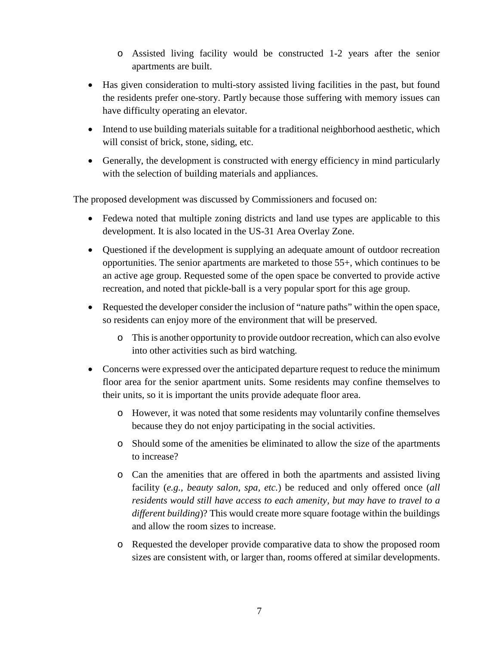- o Assisted living facility would be constructed 1-2 years after the senior apartments are built.
- Has given consideration to multi-story assisted living facilities in the past, but found the residents prefer one-story. Partly because those suffering with memory issues can have difficulty operating an elevator.
- Intend to use building materials suitable for a traditional neighborhood aesthetic, which will consist of brick, stone, siding, etc.
- Generally, the development is constructed with energy efficiency in mind particularly with the selection of building materials and appliances.

The proposed development was discussed by Commissioners and focused on:

- Fedewa noted that multiple zoning districts and land use types are applicable to this development. It is also located in the US-31 Area Overlay Zone.
- Questioned if the development is supplying an adequate amount of outdoor recreation opportunities. The senior apartments are marketed to those 55+, which continues to be an active age group. Requested some of the open space be converted to provide active recreation, and noted that pickle-ball is a very popular sport for this age group.
- Requested the developer consider the inclusion of "nature paths" within the open space, so residents can enjoy more of the environment that will be preserved.
	- o This is another opportunity to provide outdoor recreation, which can also evolve into other activities such as bird watching.
- Concerns were expressed over the anticipated departure request to reduce the minimum floor area for the senior apartment units. Some residents may confine themselves to their units, so it is important the units provide adequate floor area.
	- o However, it was noted that some residents may voluntarily confine themselves because they do not enjoy participating in the social activities.
	- o Should some of the amenities be eliminated to allow the size of the apartments to increase?
	- o Can the amenities that are offered in both the apartments and assisted living facility (*e.g., beauty salon, spa, etc.*) be reduced and only offered once (*all residents would still have access to each amenity, but may have to travel to a different building*)? This would create more square footage within the buildings and allow the room sizes to increase.
	- o Requested the developer provide comparative data to show the proposed room sizes are consistent with, or larger than, rooms offered at similar developments.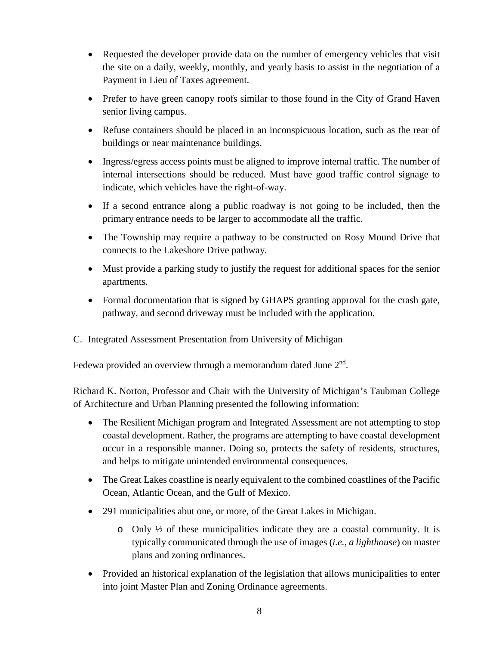- Requested the developer provide data on the number of emergency vehicles that visit the site on a daily, weekly, monthly, and yearly basis to assist in the negotiation of a Payment in Lieu of Taxes agreement.
- Prefer to have green canopy roofs similar to those found in the City of Grand Haven senior living campus.
- Refuse containers should be placed in an inconspicuous location, such as the rear of buildings or near maintenance buildings.
- Ingress/egress access points must be aligned to improve internal traffic. The number of internal intersections should be reduced. Must have good traffic control signage to indicate, which vehicles have the right-of-way.
- If a second entrance along a public roadway is not going to be included, then the primary entrance needs to be larger to accommodate all the traffic.
- The Township may require a pathway to be constructed on Rosy Mound Drive that connects to the Lakeshore Drive pathway.
- Must provide a parking study to justify the request for additional spaces for the senior apartments.
- Formal documentation that is signed by GHAPS granting approval for the crash gate, pathway, and second driveway must be included with the application.
- C. Integrated Assessment Presentation from University of Michigan

Fedewa provided an overview through a memorandum dated June  $2<sup>nd</sup>$ .

Richard K. Norton, Professor and Chair with the University of Michigan's Taubman College of Architecture and Urban Planning presented the following information:

- The Resilient Michigan program and Integrated Assessment are not attempting to stop coastal development. Rather, the programs are attempting to have coastal development occur in a responsible manner. Doing so, protects the safety of residents, structures, and helps to mitigate unintended environmental consequences.
- The Great Lakes coastline is nearly equivalent to the combined coastlines of the Pacific Ocean, Atlantic Ocean, and the Gulf of Mexico.
- 291 municipalities abut one, or more, of the Great Lakes in Michigan.
	- $\circ$  Only  $\frac{1}{2}$  of these municipalities indicate they are a coastal community. It is typically communicated through the use of images (*i.e., a lighthouse*) on master plans and zoning ordinances.
- Provided an historical explanation of the legislation that allows municipalities to enter into joint Master Plan and Zoning Ordinance agreements.